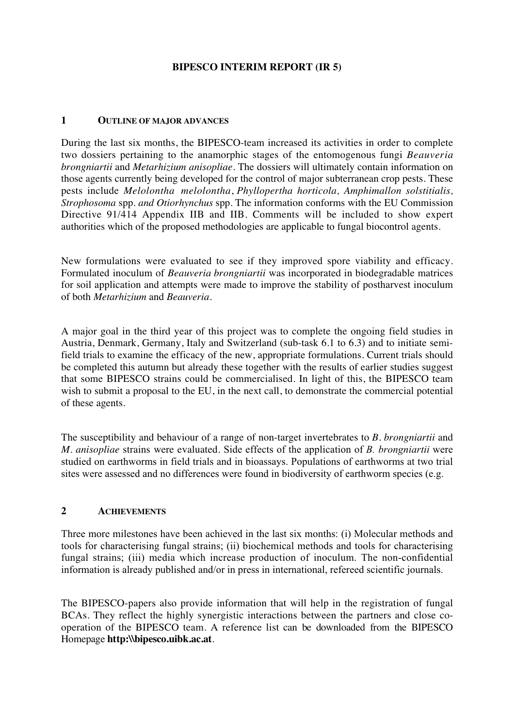## **BIPESCO INTERIM REPORT (IR 5)**

## **1 OUTLINE OF MAJOR ADVANCES**

During the last six months, the BIPESCO-team increased its activities in order to complete two dossiers pertaining to the anamorphic stages of the entomogenous fungi *Beauveria brongniartii* and *Metarhizium anisopliae*. The dossiers will ultimately contain information on those agents currently being developed for the control of major subterranean crop pests. These pests include *Melolontha melolontha*, *Phyllopertha horticola, Amphimallon solstitialis, Strophosoma* spp*. and Otiorhynchus* spp*.* The information conforms with the EU Commission Directive 91/414 Appendix IIB and IIB. Comments will be included to show expert authorities which of the proposed methodologies are applicable to fungal biocontrol agents.

New formulations were evaluated to see if they improved spore viability and efficacy. Formulated inoculum of *Beauveria brongniartii* was incorporated in biodegradable matrices for soil application and attempts were made to improve the stability of postharvest inoculum of both *Metarhizium* and *Beauveria*.

A major goal in the third year of this project was to complete the ongoing field studies in Austria, Denmark, Germany, Italy and Switzerland (sub-task 6.1 to 6.3) and to initiate semifield trials to examine the efficacy of the new, appropriate formulations. Current trials should be completed this autumn but already these together with the results of earlier studies suggest that some BIPESCO strains could be commercialised. In light of this, the BIPESCO team wish to submit a proposal to the EU, in the next call, to demonstrate the commercial potential of these agents.

The susceptibility and behaviour of a range of non-target invertebrates to *B. brongniartii* and *M. anisopliae* strains were evaluated. Side effects of the application of *B. brongniartii* were studied on earthworms in field trials and in bioassays. Populations of earthworms at two trial sites were assessed and no differences were found in biodiversity of earthworm species (e.g.

## **2 ACHIEVEMENTS**

Three more milestones have been achieved in the last six months: (i) Molecular methods and tools for characterising fungal strains; (ii) biochemical methods and tools for characterising fungal strains; (iii) media which increase production of inoculum. The non-confidential information is already published and/or in press in international, refereed scientific journals.

The BIPESCO-papers also provide information that will help in the registration of fungal BCAs. They reflect the highly synergistic interactions between the partners and close cooperation of the BIPESCO team. A reference list can be downloaded from the BIPESCO Homepage **ht tp :\\ bip esco. uib k. ac. at**.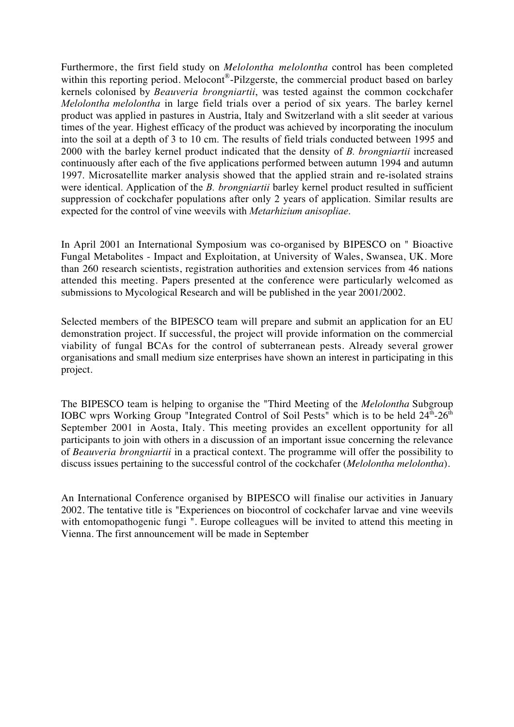Furthermore, the first field study on *Melolontha melolontha* control has been completed within this reporting period. Melocont<sup>®</sup>-Pilzgerste, the commercial product based on barley kernels colonised by *Beauveria brongniartii*, was tested against the common cockchafer *Melolontha melolontha* in large field trials over a period of six years. The barley kernel product was applied in pastures in Austria, Italy and Switzerland with a slit seeder at various times of the year. Highest efficacy of the product was achieved by incorporating the inoculum into the soil at a depth of 3 to 10 cm. The results of field trials conducted between 1995 and 2000 with the barley kernel product indicated that the density of *B. brongniartii* increased continuously after each of the five applications performed between autumn 1994 and autumn 1997. Microsatellite marker analysis showed that the applied strain and re-isolated strains were identical. Application of the *B. brongniartii* barley kernel product resulted in sufficient suppression of cockchafer populations after only 2 years of application. Similar results are expected for the control of vine weevils with *Metarhizium anisopliae*.

In April 2001 an International Symposium was co-organised by BIPESCO on " Bioactive Fungal Metabolites - Impact and Exploitation, at University of Wales, Swansea, UK. More than 260 research scientists, registration authorities and extension services from 46 nations attended this meeting. Papers presented at the conference were particularly welcomed as submissions to Mycological Research and will be published in the year 2001/2002.

Selected members of the BIPESCO team will prepare and submit an application for an EU demonstration project. If successful, the project will provide information on the commercial viability of fungal BCAs for the control of subterranean pests. Already several grower organisations and small medium size enterprises have shown an interest in participating in this project.

The BIPESCO team is helping to organise the "Third Meeting of the *Melolontha* Subgroup IOBC wprs Working Group "Integrated Control of Soil Pests" which is to be held  $24<sup>th</sup>$ - $26<sup>th</sup>$ September 2001 in Aosta, Italy. This meeting provides an excellent opportunity for all participants to join with others in a discussion of an important issue concerning the relevance of *Beauveria brongniartii* in a practical context. The programme will offer the possibility to discuss issues pertaining to the successful control of the cockchafer (*Melolontha melolontha*).

An International Conference organised by BIPESCO will finalise our activities in January 2002. The tentative title is "Experiences on biocontrol of cockchafer larvae and vine weevils with entomopathogenic fungi ". Europe colleagues will be invited to attend this meeting in Vienna. The first announcement will be made in September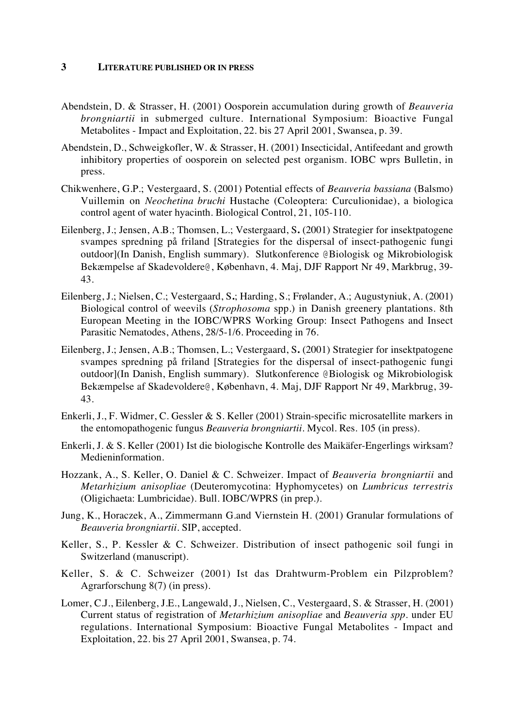## **3 LITERATURE PUBLISHED OR IN PRESS**

- Abendstein, D. & Strasser, H. (2001) Oosporein accumulation during growth of *Beauveria brongniartii* in submerged culture. International Symposium: Bioactive Fungal Metabolites - Impact and Exploitation, 22. bis 27 April 2001, Swansea, p. 39.
- Abendstein, D., Schweigkofler, W. & Strasser, H. (2001) Insecticidal, Antifeedant and growth inhibitory properties of oosporein on selected pest organism. IOBC wprs Bulletin, in press.
- Chikwenhere, G.P.; Vestergaard, S. (2001) Potential effects of *Beauveria bassiana* (Balsmo) Vuillemin on *Neochetina bruchi* Hustache (Coleoptera: Curculionidae), a biologica control agent of water hyacinth. Biological Control, 21, 105-110.
- Eilenberg, J.; Jensen, A.B.; Thomsen, L.; Vestergaard, S**.** (2001) Strategier for insektpatogene svampes spredning på friland [Strategies for the dispersal of insect-pathogenic fungi outdoor](In Danish, English summary). Slutkonference @Biologisk og Mikrobiologisk Bekæmpelse af Skadevoldere@, København, 4. Maj, DJF Rapport Nr 49, Markbrug, 39- 43.
- Eilenberg, J.; Nielsen, C.; Vestergaard, S**.**; Harding, S.; Frølander, A.; Augustyniuk, A. (2001) Biological control of weevils (*Strophosoma* spp.) in Danish greenery plantations. 8th European Meeting in the IOBC/WPRS Working Group: Insect Pathogens and Insect Parasitic Nematodes, Athens, 28/5-1/6. Proceeding in 76.
- Eilenberg, J.; Jensen, A.B.; Thomsen, L.; Vestergaard, S**.** (2001) Strategier for insektpatogene svampes spredning på friland [Strategies for the dispersal of insect-pathogenic fungi outdoor](In Danish, English summary). Slutkonference @Biologisk og Mikrobiologisk Bekæmpelse af Skadevoldere@, København, 4. Maj, DJF Rapport Nr 49, Markbrug, 39- 43.
- Enkerli, J., F. Widmer, C. Gessler & S. Keller (2001) Strain-specific microsatellite markers in the entomopathogenic fungus *Beauveria brongniartii*. Mycol. Res. 105 (in press).
- Enkerli, J. & S. Keller (2001) Ist die biologische Kontrolle des Maikäfer-Engerlings wirksam? Medieninformation.
- Hozzank, A., S. Keller, O. Daniel & C. Schweizer. Impact of *Beauveria brongniartii* and *Metarhizium anisopliae* (Deuteromycotina: Hyphomycetes) on *Lumbricus terrestris* (Oligichaeta: Lumbricidae). Bull. IOBC/WPRS (in prep.).
- Jung, K., Horaczek, A., Zimmermann G.and Viernstein H. (2001) Granular formulations of *Beauveria brongniartii*. SIP, accepted.
- Keller, S., P. Kessler & C. Schweizer. Distribution of insect pathogenic soil fungi in Switzerland (manuscript).
- Keller, S. & C. Schweizer (2001) Ist das Drahtwurm-Problem ein Pilzproblem? Agrarforschung 8(7) (in press).
- Lomer, C.J., Eilenberg, J.E., Langewald, J., Nielsen, C., Vestergaard, S. & Strasser, H. (2001) Current status of registration of *Metarhizium anisopliae* and *Beauveria spp.* under EU regulations. International Symposium: Bioactive Fungal Metabolites - Impact and Exploitation, 22. bis 27 April 2001, Swansea, p. 74.